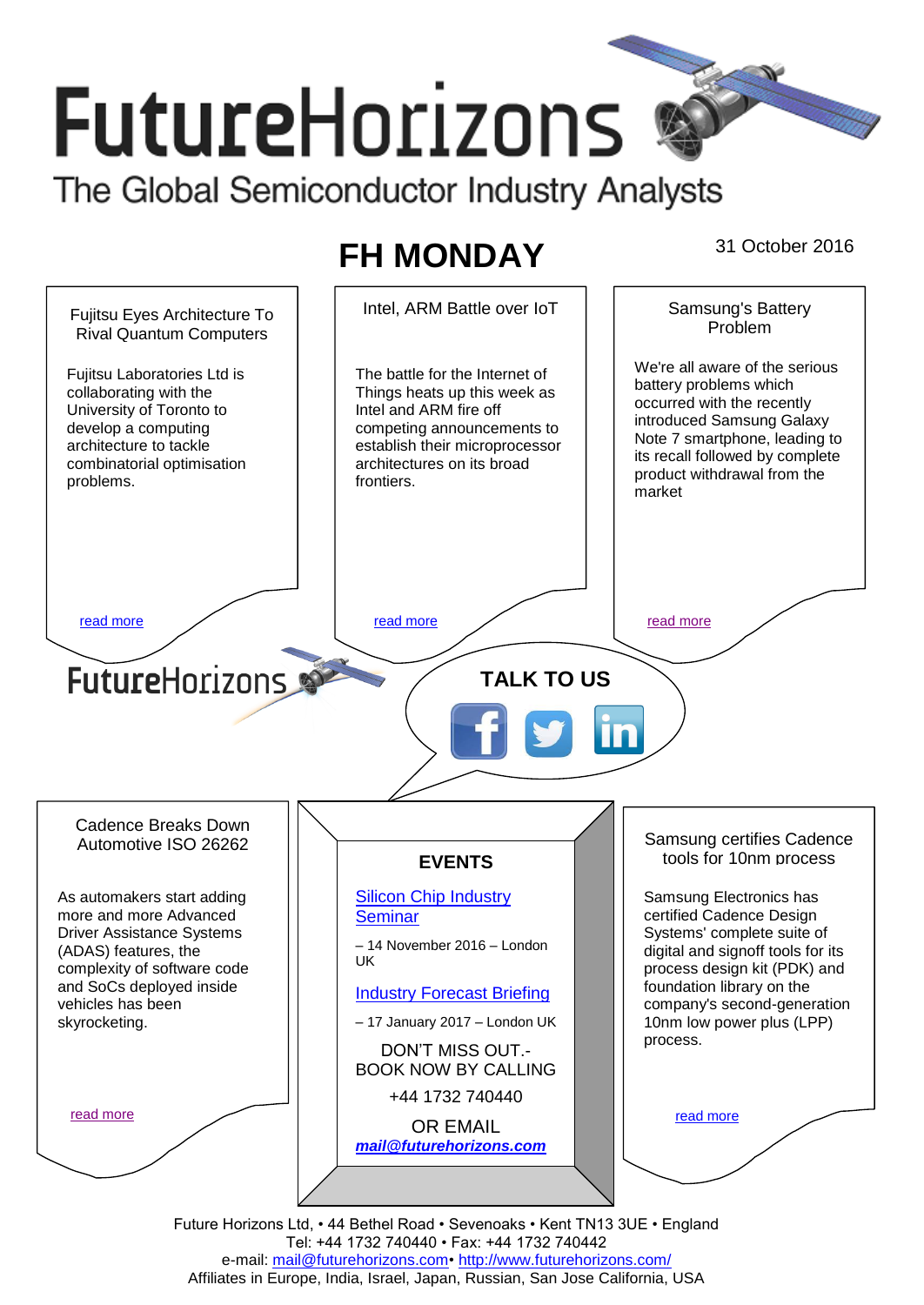# **FutureHorizons** The Global Semiconductor Industry Analysts

## FH MONDAY <sup>31 October 2016</sup>



Future Horizons Ltd, • 44 Bethel Road • Sevenoaks • Kent TN13 3UE • England Tel: +44 1732 740440 • Fax: +44 1732 740442 e-mail: mail@futurehorizons.com• http://www.futurehorizons.com/ Affiliates in Europe, India, Israel, Japan, Russian, San Jose California, USA